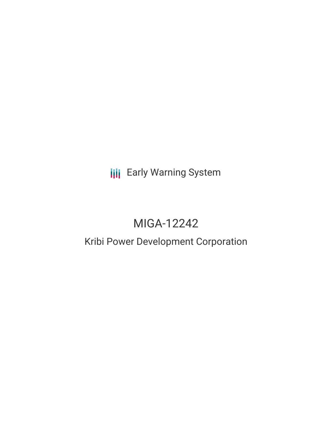**III** Early Warning System

# MIGA-12242

# Kribi Power Development Corporation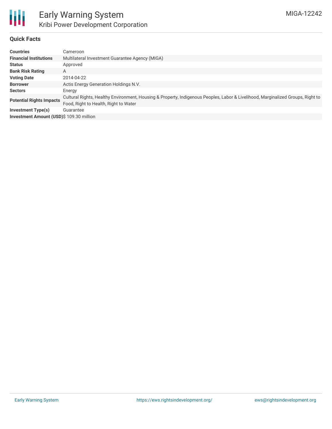

## **Quick Facts**

| <b>Countries</b>                         | Cameroon                                                                                                                                                                 |
|------------------------------------------|--------------------------------------------------------------------------------------------------------------------------------------------------------------------------|
| <b>Financial Institutions</b>            | Multilateral Investment Guarantee Agency (MIGA)                                                                                                                          |
| <b>Status</b>                            | Approved                                                                                                                                                                 |
| <b>Bank Risk Rating</b>                  | A                                                                                                                                                                        |
| <b>Voting Date</b>                       | 2014-04-22                                                                                                                                                               |
| <b>Borrower</b>                          | Actis Energy Generation Holdings N.V.                                                                                                                                    |
| <b>Sectors</b>                           | Energy                                                                                                                                                                   |
| <b>Potential Rights Impacts</b>          | Cultural Rights, Healthy Environment, Housing & Property, Indigenous Peoples, Labor & Livelihood, Marginalized Groups, Right to<br>Food, Right to Health, Right to Water |
| <b>Investment Type(s)</b>                | Guarantee                                                                                                                                                                |
| Investment Amount (USD)\$ 109.30 million |                                                                                                                                                                          |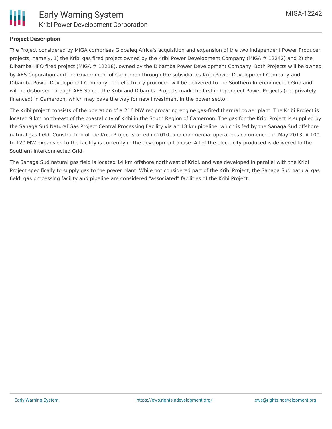

#### **Project Description**

The Project considered by MIGA comprises Globaleq Africa's acquisition and expansion of the two Independent Power Producer projects, namely, 1) the Kribi gas fired project owned by the Kribi Power Development Company (MIGA # 12242) and 2) the Dibamba HFO fired project (MIGA # 12218), owned by the Dibamba Power Development Company. Both Projects will be owned by AES Coporation and the Government of Cameroon through the subsidiaries Kribi Power Development Company and Dibamba Power Development Company. The electricity produced will be delivered to the Southern Interconnected Grid and will be disbursed through AES Sonel. The Kribi and Dibamba Projects mark the first independent Power Projects (i.e. privately financed) in Cameroon, which may pave the way for new investment in the power sector.

The Kribi project consists of the operation of a 216 MW reciprocating engine gas-fired thermal power plant. The Kribi Project is located 9 km north-east of the coastal city of Kribi in the South Region of Cameroon. The gas for the Kribi Project is supplied by the Sanaga Sud Natural Gas Project Central Processing Facility via an 18 km pipeline, which is fed by the Sanaga Sud offshore natural gas field. Construction of the Kribi Project started in 2010, and commercial operations commenced in May 2013. A 100 to 120 MW expansion to the facility is currently in the development phase. All of the electricity produced is delivered to the Southern Interconnected Grid.

The Sanaga Sud natural gas field is located 14 km offshore northwest of Kribi, and was developed in parallel with the Kribi Project specifically to supply gas to the power plant. While not considered part of the Kribi Project, the Sanaga Sud natural gas field, gas processing facility and pipeline are considered "associated" facilities of the Kribi Project.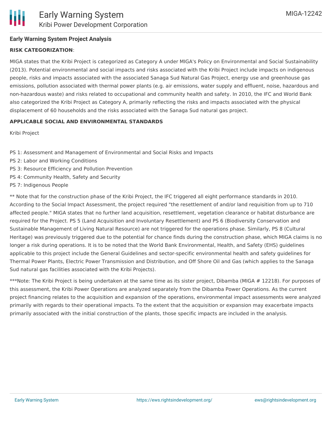# **Early Warning System Project Analysis**

#### **RISK CATEGORIZATION**:

MIGA states that the Kribi Project is categorized as Category A under MIGA's Policy on Environmental and Social Sustainability (2013). Potential environmental and social impacts and risks associated with the Kribi Project include impacts on indigenous people, risks and impacts associated with the associated Sanaga Sud Natural Gas Project, energy use and greenhouse gas emissions, pollution associated with thermal power plants (e.g. air emissions, water supply and effluent, noise, hazardous and non-hazardous waste) and risks related to occupational and community health and safety. In 2010, the IFC and World Bank also categorized the Kribi Project as Category A, primarily reflecting the risks and impacts associated with the physical displacement of 60 households and the risks associated with the Sanaga Sud natural gas project.

#### **APPLICABLE SOCIAL AND ENVIRONMENTAL STANDARDS**

Kribi Project

- PS 1: Assessment and Management of Environmental and Social Risks and Impacts
- PS 2: Labor and Working Conditions
- PS 3: Resource Efficiency and Pollution Prevention
- PS 4: Community Health, Safety and Security
- PS 7: Indigenous People

\*\* Note that for the construction phase of the Kribi Project, the IFC triggered all eight performance standards in 2010. According to the Social Impact Assessment, the project required "the resettlement of and/or land requisition from up to 710 affected people." MIGA states that no further land acquisition, resettlement, vegetation clearance or habitat disturbance are required for the Project. PS 5 (Land Acquisition and Involuntary Resettlement) and PS 6 (Biodiversity Conservation and Sustainable Management of Living Natural Resource) are not triggered for the operations phase. Similarly, PS 8 (Cultural Heritage) was previously triggered due to the potential for chance finds during the construction phase, which MIGA claims is no longer a risk during operations. It is to be noted that the World Bank Environmental, Health, and Safety (EHS) guidelines applicable to this project include the General Guidelines and sector-specific environmental health and safety guidelines for Thermal Power Plants, Electric Power Transmission and Distribution, and Off Shore Oil and Gas (which applies to the Sanaga Sud natural gas facilities associated with the Kribi Projects).

\*\*\*Note: The Kribi Project is being undertaken at the same time as its sister project, Dibamba (MIGA # 12218). For purposes of this assessment, the Kribi Power Operations are analyzed separately from the Dibamba Power Operations. As the current project financing relates to the acquisition and expansion of the operations, environmental impact assessments were analyzed primarily with regards to their operational impacts. To the extent that the acquisition or expansion may exacerbate impacts primarily associated with the initial construction of the plants, those specific impacts are included in the analysis.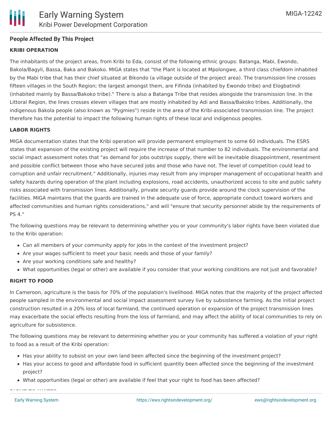# **People Affected By This Project**

## **KRIBI OPERATION**

The inhabitants of the project areas, from Kribi to Eda, consist of the following ethnic groups: Batanga, Mabi, Ewondo, Bakola/Bagyli, Bassa, Baka and Bakoko. MIGA states that "the Plant is located at Mpolongwe, a third class chiefdom inhabited by the Mabi tribe that has their chief situated at Bikondo (a village outside of the project area). The transmission line crosses fifteen villages in the South Region; the largest amongst them, are Fifinda (inhabited by Ewondo tribe) and Elogbatindi (inhabited mainly by Bassa/Bakoko tribe)." There is also a Batanga Tribe that resides alongside the transmission line. In the Littoral Region, the lines crosses eleven villages that are mostly inhabited by Adi and Bassa/Bakoko tribes. Additionally, the indigenous Bakola people (also known as "Pygmies") reside in the area of the Kribi-associated transmission line. The project therefore has the potential to impact the following human rights of these local and indigenous peoples.

## **LABOR RIGHTS**

MIGA documentation states that the Kribi operation will provide permanent employment to some 60 individuals. The ESRS states that expansion of the existing project will require the increase of that number to 82 individuals. The environmental and social impact assessment notes that "as demand for jobs outstrips supply, there will be inevitable disappointment, resentment and possible conflict between those who have secured jobs and those who have not. The level of competition could lead to corruption and unfair recruitment." Additionally, injuries may result from any improper management of occupational health and safety hazards during operation of the plant including explosions, road accidents, unauthorized access to site and public safety risks associated with transmission lines. Additionally, private security guards provide around the clock supervision of the facilities. MIGA maintains that the guards are trained in the adequate use of force, appropriate conduct toward workers and affected communities and human rights considerations," and will "ensure that security personnel abide by the requirements of PS 4."

The following questions may be relevant to determining whether you or your community's labor rights have been violated due to the Kribi operation:

- Can all members of your community apply for jobs in the context of the investment project?
- Are your wages sufficient to meet your basic needs and those of your family?
- Are your working conditions safe and healthy?
- What opportunities (legal or other) are available if you consider that your working conditions are not just and favorable?

#### **RIGHT TO FOOD**

In Cameroon, agriculture is the basis for 70% of the population's livelihood. MIGA notes that the majority of the project affected people sampled in the environmental and social impact assessment survey live by subsistence farming. As the initial project construction resulted in a 20% loss of local farmland, the continued operation or expansion of the project transmission lines may exacerbate the social effects resulting from the loss of farmland, and may affect the ability of local communities to rely on agriculture for subsistence.

The following questions may be relevant to determining whether you or your community has suffered a violation of your right to food as a result of the Kribi operation:

- Has your ability to subsist on your own land been affected since the beginning of the investment project?
- Has your access to good and affordable food in sufficient quantity been affected since the beginning of the investment project?
- What opportunities (legal or other) are available if feel that your right to food has been affected?

**RIGHT TO WATER**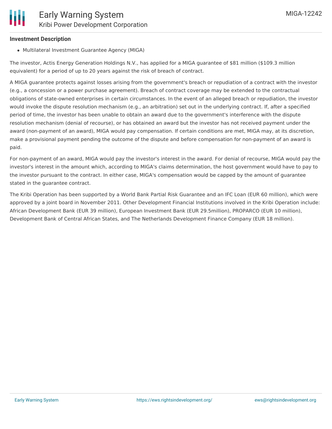#### **Investment Description**

Multilateral Investment Guarantee Agency (MIGA)

The investor, Actis Energy Generation Holdings N.V., has applied for a MIGA guarantee of \$81 million (\$109.3 million equivalent) for a period of up to 20 years against the risk of breach of contract.

A MIGA guarantee protects against losses arising from the government's breach or repudiation of a contract with the investor (e.g., a concession or a power purchase agreement). Breach of contract coverage may be extended to the contractual obligations of state-owned enterprises in certain circumstances. In the event of an alleged breach or repudiation, the investor would invoke the dispute resolution mechanism (e.g., an arbitration) set out in the underlying contract. If, after a specified period of time, the investor has been unable to obtain an award due to the government's interference with the dispute resolution mechanism (denial of recourse), or has obtained an award but the investor has not received payment under the award (non-payment of an award), MIGA would pay compensation. If certain conditions are met, MIGA may, at its discretion, make a provisional payment pending the outcome of the dispute and before compensation for non-payment of an award is paid.

For non-payment of an award, MIGA would pay the investor's interest in the award. For denial of recourse, MIGA would pay the investor's interest in the amount which, according to MIGA's claims determination, the host government would have to pay to the investor pursuant to the contract. In either case, MIGA's compensation would be capped by the amount of guarantee stated in the guarantee contract.

The Kribi Operation has been supported by a World Bank Partial Risk Guarantee and an IFC Loan (EUR 60 million), which were approved by a joint board in November 2011. Other Development Financial Institutions involved in the Kribi Operation include: African Development Bank (EUR 39 million), European Investment Bank (EUR 29.5million), PROPARCO (EUR 10 million), Development Bank of Central African States, and The Netherlands Development Finance Company (EUR 18 million).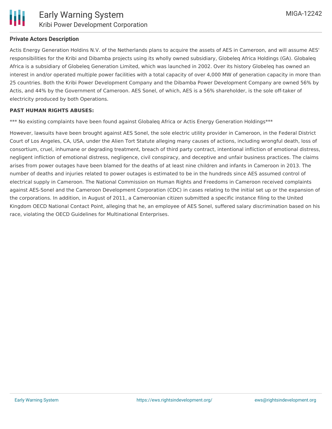

#### **Private Actors Description**

Actis Energy Generation Holdins N.V. of the Netherlands plans to acquire the assets of AES in Cameroon, and will assume AES' responsibilities for the Kribi and Dibamba projects using its wholly owned subsidiary, Globeleq Africa Holdings (GA). Globaleq Africa is a subsidiary of Globeleq Generation Limited, which was launched in 2002. Over its history Globeleq has owned an interest in and/or operated multiple power facilities with a total capacity of over 4,000 MW of generation capacity in more than 25 countries. Both the Kribi Power Development Company and the Dibamba Power Development Company are owned 56% by Actis, and 44% by the Government of Cameroon. AES Sonel, of which, AES is a 56% shareholder, is the sole off-taker of electricity produced by both Operations.

#### **PAST HUMAN RIGHTS ABUSES:**

\*\*\* No existing complaints have been found against Globaleq Africa or Actis Energy Generation Holdings\*\*\*

However, lawsuits have been brought against AES Sonel, the sole electric utility provider in Cameroon, in the Federal District Court of Los Angeles, CA, USA, under the Alien Tort Statute alleging many causes of actions, including wrongful death, loss of consortium, cruel, inhumane or degrading treatment, breach of third party contract, intentional infliction of emotional distress, negligent infliction of emotional distress, negligence, civil conspiracy, and deceptive and unfair business practices. The claims arises from power outages have been blamed for the deaths of at least nine children and infants in Cameroon in 2013. The number of deaths and injuries related to power outages is estimated to be in the hundreds since AES assumed control of electrical supply in Cameroon. The National Commission on Human Rights and Freedoms in Cameroon received complaints against AES-Sonel and the Cameroon Development Corporation (CDC) in cases relating to the initial set up or the expansion of the corporations. In addition, in August of 2011, a Cameroonian citizen submitted a specific instance filing to the United Kingdom OECD National Contact Point, alleging that he, an employee of AES Sonel, suffered salary discrimination based on his race, violating the OECD Guidelines for Multinational Enterprises.